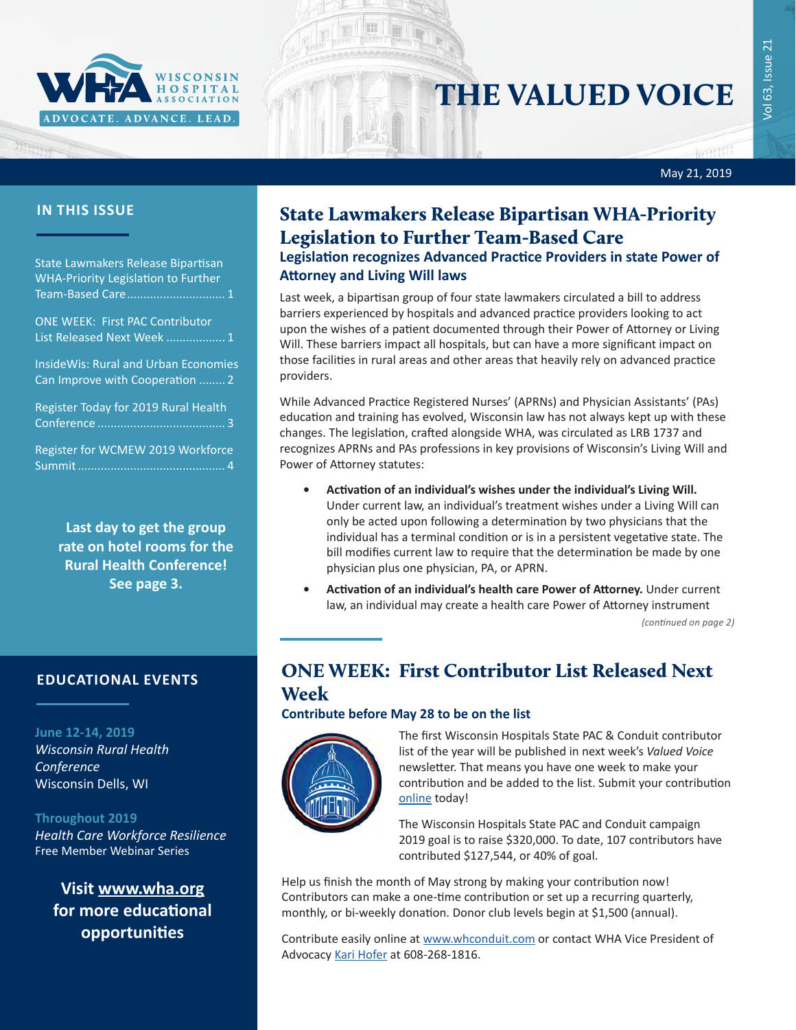

# THE VALUED VOICE

न्तुसुर् May 21, 2019

#### **IN THIS ISSUE**

State Lawmakers Release Bipartisan WHA-Priority Legislation to Further Team-Based Care.............................. 1

ONE WEEK: First PAC Contributor List Released Next Week .................. 1

[InsideWis: Rural and Urban Economies](#page-1-0)  [Can Improve with Cooperation](#page-1-0) ........ 2

[Register Today for 2019 Rural Health](#page-2-0)  Conference [.......................................](#page-2-0) 3

[Register for WCMEW 2019 Workforce](#page-3-0)  [Summit.............................................](#page-3-0) 4

> **Last day to get the group rate on hotel rooms for the Rural Health Conference! See page 3.**

#### **EDUCATIONAL EVENTS**

**June 12-14, 2019** *[Wisconsin Rural Health](http://www.cvent.com/d/b6q37j)  [Conference](http://www.cvent.com/d/b6q37j)* Wisconsin Dells, WI

**Throughout 2019** *[Health Care Workforce Resilience](http://www.whareg4.org/WorkforceResilience/)* Free Member Webinar Series

**Visit [www.wha.org](https://www.wha.org) for more educational opportunities**

## State Lawmakers Release Bipartisan WHA-Priority Legislation to Further Team-Based Care **Legislation recognizes Advanced Practice Providers in state Power of Attorney and Living Will laws**

Last week, a bipartisan group of four state lawmakers circulated a bill to address barriers experienced by hospitals and advanced practice providers looking to act upon the wishes of a patient documented through their Power of Attorney or Living Will. These barriers impact all hospitals, but can have a more significant impact on those facilities in rural areas and other areas that heavily rely on advanced practice providers.

While Advanced Practice Registered Nurses' (APRNs) and Physician Assistants' (PAs) education and training has evolved, Wisconsin law has not always kept up with these changes. The legislation, crafted alongside WHA, was circulated as LRB 1737 and recognizes APRNs and PAs professions in key provisions of Wisconsin's Living Will and Power of Attorney statutes:

- **• Activation of an individual's wishes under the individual's Living Will.**  Under current law, an individual's treatment wishes under a Living Will can only be acted upon following a determination by two physicians that the individual has a terminal condition or is in a persistent vegetative state. The bill modifies current law to require that the determination be made by one physician plus one physician, PA, or APRN.
- **• Activation of an individual's health care Power of Attorney.** Under current law, an individual may create a health care Power of Attorney instrument

*(continued on page 2)*

# ONE WEEK: First Contributor List Released Next Week

#### **Contribute before May 28 to be on the list**



The first Wisconsin Hospitals State PAC & Conduit contributor list of the year will be published in next week's *Valued Voice* newsletter. That means you have one week to make your contribution and be added to the list. Submit your contribution [online](http://www.whconduit.com) today!

The Wisconsin Hospitals State PAC and Conduit campaign 2019 goal is to raise \$320,000. To date, 107 contributors have contributed \$127,544, or 40% of goal.

Help us finish the month of May strong by making your contribution now! Contributors can make a one-time contribution or set up a recurring quarterly, monthly, or bi-weekly donation. Donor club levels begin at \$1,500 (annual).

Contribute easily online at [www.whconduit.com](http://www.whconduit.com) or contact WHA Vice President of Advocacy [Kari Hofer](mailto:khofer@wha.org) at 608-268-1816.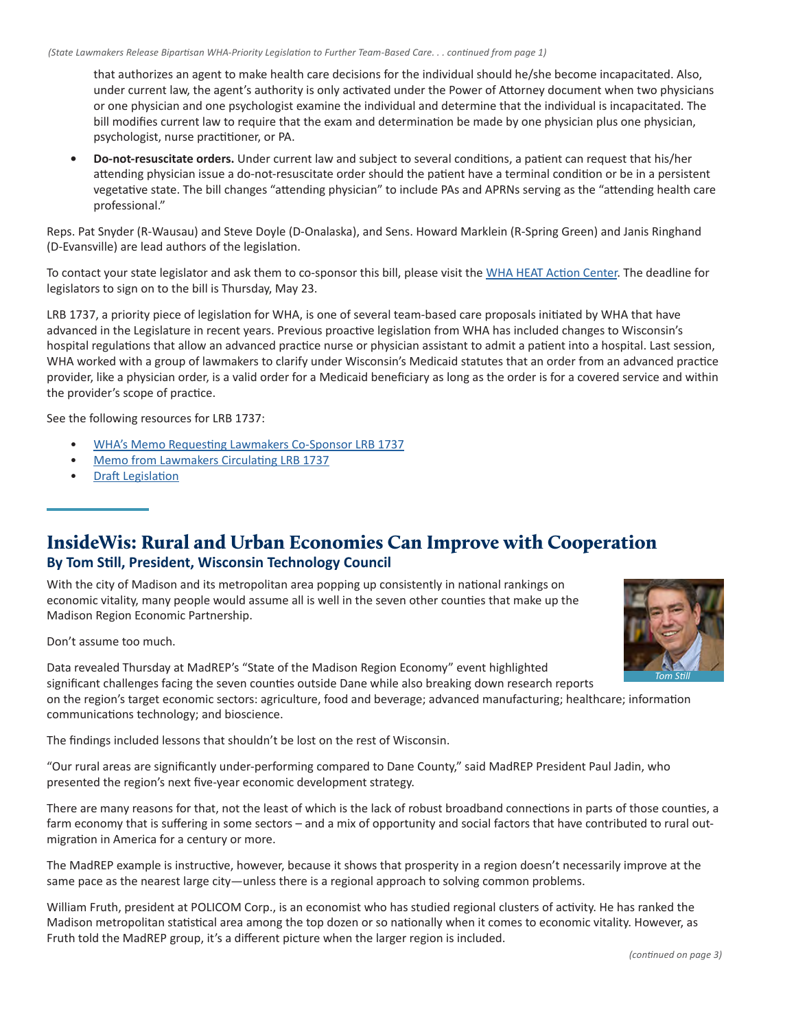<span id="page-1-0"></span>that authorizes an agent to make health care decisions for the individual should he/she become incapacitated. Also, under current law, the agent's authority is only activated under the Power of Attorney document when two physicians or one physician and one psychologist examine the individual and determine that the individual is incapacitated. The bill modifies current law to require that the exam and determination be made by one physician plus one physician, psychologist, nurse practitioner, or PA.

**• Do-not-resuscitate orders.** Under current law and subject to several conditions, a patient can request that his/her attending physician issue a do-not-resuscitate order should the patient have a terminal condition or be in a persistent vegetative state. The bill changes "attending physician" to include PAs and APRNs serving as the "attending health care professional."

Reps. Pat Snyder (R-Wausau) and Steve Doyle (D-Onalaska), and Sens. Howard Marklein (R-Spring Green) and Janis Ringhand (D-Evansville) are lead authors of the legislation.

To contact your state legislator and ask them to co-sponsor this bill, please visit the [WHA HEAT Action Center.](https://www.wha.org/Advocacy/Legislators/FindYourLegislators) The deadline for legislators to sign on to the bill is Thursday, May 23.

LRB 1737, a priority piece of legislation for WHA, is one of several team-based care proposals initiated by WHA that have advanced in the Legislature in recent years. Previous proactive legislation from WHA has included changes to Wisconsin's hospital regulations that allow an advanced practice nurse or physician assistant to admit a patient into a hospital. Last session, WHA worked with a group of lawmakers to clarify under Wisconsin's Medicaid statutes that an order from an advanced practice provider, like a physician order, is a valid order for a Medicaid beneficiary as long as the order is for a covered service and within the provider's scope of practice.

See the following resources for LRB 1737:

- [WHA's Memo Requesting Lawmakers Co-Sponsor LRB 1737](https://www.wha.org/WisconsinHospitalAssociation/media/WHACommon/Government%20Relations/pdf/2019WHAMemoRequestingLawmakersCosponsorLRB1737AdvancedDirectives_5-14-19.pdf)
- [Memo from Lawmakers Circulating LRB 1737](https://www.wha.org/WisconsinHospitalAssociation/media/WHACommon/Government%20Relations/pdf/2019MemoFromLawmakersCirculatingLRB1737AdvancedDirectives_05-14.pdf)
- [Draft Legislation](https://www.wha.org/WisconsinHospitalAssociation/media/WHACommon/Government%20Relations/pdf/2019DraftLegislationLRB1737AdvanceDirectives.pdf)

## InsideWis: Rural and Urban Economies Can Improve with Cooperation **By Tom Still, President, Wisconsin Technology Council**

With the city of Madison and its metropolitan area popping up consistently in national rankings on economic vitality, many people would assume all is well in the seven other counties that make up the Madison Region Economic Partnership.

Don't assume too much.



Data revealed Thursday at MadREP's "State of the Madison Region Economy" event highlighted significant challenges facing the seven counties outside Dane while also breaking down research reports on the region's target economic sectors: agriculture, food and beverage; advanced manufacturing; healthcare; information communications technology; and bioscience. *Tom Still*

The findings included lessons that shouldn't be lost on the rest of Wisconsin.

"Our rural areas are significantly under-performing compared to Dane County," said MadREP President Paul Jadin, who presented the region's next five-year economic development strategy.

There are many reasons for that, not the least of which is the lack of robust broadband connections in parts of those counties, a farm economy that is suffering in some sectors – and a mix of opportunity and social factors that have contributed to rural outmigration in America for a century or more.

The MadREP example is instructive, however, because it shows that prosperity in a region doesn't necessarily improve at the same pace as the nearest large city—unless there is a regional approach to solving common problems.

William Fruth, president at POLICOM Corp., is an economist who has studied regional clusters of activity. He has ranked the Madison metropolitan statistical area among the top dozen or so nationally when it comes to economic vitality. However, as Fruth told the MadREP group, it's a different picture when the larger region is included.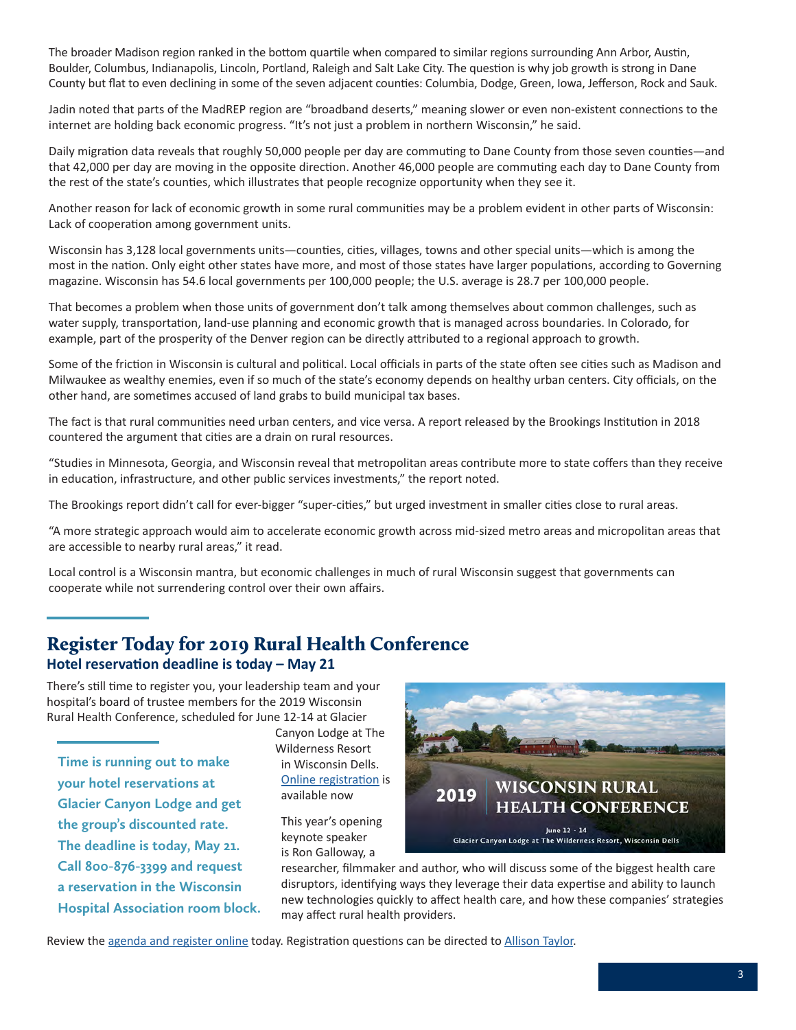<span id="page-2-0"></span>The broader Madison region ranked in the bottom quartile when compared to similar regions surrounding Ann Arbor, Austin, Boulder, Columbus, Indianapolis, Lincoln, Portland, Raleigh and Salt Lake City. The question is why job growth is strong in Dane County but flat to even declining in some of the seven adjacent counties: Columbia, Dodge, Green, Iowa, Jefferson, Rock and Sauk.

Jadin noted that parts of the MadREP region are "broadband deserts," meaning slower or even non-existent connections to the internet are holding back economic progress. "It's not just a problem in northern Wisconsin," he said.

Daily migration data reveals that roughly 50,000 people per day are commuting to Dane County from those seven counties—and that 42,000 per day are moving in the opposite direction. Another 46,000 people are commuting each day to Dane County from the rest of the state's counties, which illustrates that people recognize opportunity when they see it.

Another reason for lack of economic growth in some rural communities may be a problem evident in other parts of Wisconsin: Lack of cooperation among government units.

Wisconsin has 3,128 local governments units—counties, cities, villages, towns and other special units—which is among the most in the nation. Only eight other states have more, and most of those states have larger populations, according to Governing magazine. Wisconsin has 54.6 local governments per 100,000 people; the U.S. average is 28.7 per 100,000 people.

That becomes a problem when those units of government don't talk among themselves about common challenges, such as water supply, transportation, land-use planning and economic growth that is managed across boundaries. In Colorado, for example, part of the prosperity of the Denver region can be directly attributed to a regional approach to growth.

Some of the friction in Wisconsin is cultural and political. Local officials in parts of the state often see cities such as Madison and Milwaukee as wealthy enemies, even if so much of the state's economy depends on healthy urban centers. City officials, on the other hand, are sometimes accused of land grabs to build municipal tax bases.

The fact is that rural communities need urban centers, and vice versa. A report released by the Brookings Institution in 2018 countered the argument that cities are a drain on rural resources.

"Studies in Minnesota, Georgia, and Wisconsin reveal that metropolitan areas contribute more to state coffers than they receive in education, infrastructure, and other public services investments," the report noted.

The Brookings report didn't call for ever-bigger "super-cities," but urged investment in smaller cities close to rural areas.

"A more strategic approach would aim to accelerate economic growth across mid-sized metro areas and micropolitan areas that are accessible to nearby rural areas," it read.

Local control is a Wisconsin mantra, but economic challenges in much of rural Wisconsin suggest that governments can cooperate while not surrendering control over their own affairs.

# Register Today for 2019 Rural Health Conference **Hotel reservation deadline is today – May 21**

There's still time to register you, your leadership team and your hospital's board of trustee members for the 2019 Wisconsin Rural Health Conference, scheduled for June 12-14 at Glacier

**Time is running out to make your hotel reservations at Glacier Canyon Lodge and get the group's discounted rate. The deadline is today, May 21. Call 800-876-3399 and request a reservation in the Wisconsin Hospital Association room block.** Canyon Lodge at The Wilderness Resort in Wisconsin Dells. [Online registration](http://www.cvent.com/d/b6q37j) is available now

This year's opening keynote speaker is Ron Galloway, a



researcher, filmmaker and author, who will discuss some of the biggest health care disruptors, identifying ways they leverage their data expertise and ability to launch new technologies quickly to affect health care, and how these companies' strategies may affect rural health providers.

Review the [agenda and register online](http://www.cvent.com/d/b6q37j) today. Registration questions can be directed to [Allison Taylor.](mailto:ataylor@wha.org)